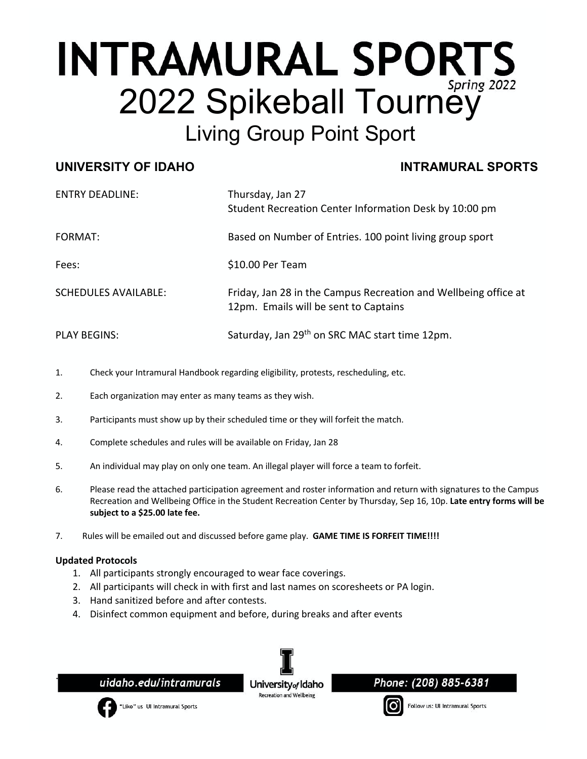# **INTRAMURAL SPORTS** 2022 Spikeball Tourney Living Group Point Sport

### **UNIVERSITY OF IDAHO INTRAMURAL SPORTS**

| <b>ENTRY DEADLINE:</b>      | Thursday, Jan 27<br>Student Recreation Center Information Desk by 10:00 pm                               |
|-----------------------------|----------------------------------------------------------------------------------------------------------|
| FORMAT:                     | Based on Number of Entries. 100 point living group sport                                                 |
| Fees:                       | \$10.00 Per Team                                                                                         |
| <b>SCHEDULES AVAILABLE:</b> | Friday, Jan 28 in the Campus Recreation and Wellbeing office at<br>12pm. Emails will be sent to Captains |
| <b>PLAY BEGINS:</b>         | Saturday, Jan 29th on SRC MAC start time 12pm.                                                           |

- 1. Check your Intramural Handbook regarding eligibility, protests, rescheduling, etc.
- 2. Each organization may enter as many teams as they wish.
- 3. Participants must show up by their scheduled time or they will forfeit the match.
- 4. Complete schedules and rules will be available on Friday, Jan 28
- 5. An individual may play on only one team. An illegal player will force a team to forfeit.
- 6. Please read the attached participation agreement and roster information and return with signatures to the Campus Recreation and Wellbeing Office in the Student Recreation Center by Thursday, Sep 16, 10p. **Late entry forms will be subject to a \$25.00 late fee.**
- 7. Rules will be emailed out and discussed before game play. **GAME TIME IS FORFEIT TIME!!!!**

#### **Updated Protocols**

- 1. All participants strongly encouraged to wear face coverings.
- 2. All participants will check in with first and last names on scoresheets or PA login.
- 3. Hand sanitized before and after contests.
- 4. Disinfect common equipment and before, during breaks and after events

uidaho.edu/intramurals

University<sub>of</sub> Idaho **Recreation and Wellbeins** 

Phone: (208) 885-6381



. ļ

"Like" us UI Intramural Sports

Follow us: UI Intramural Sports